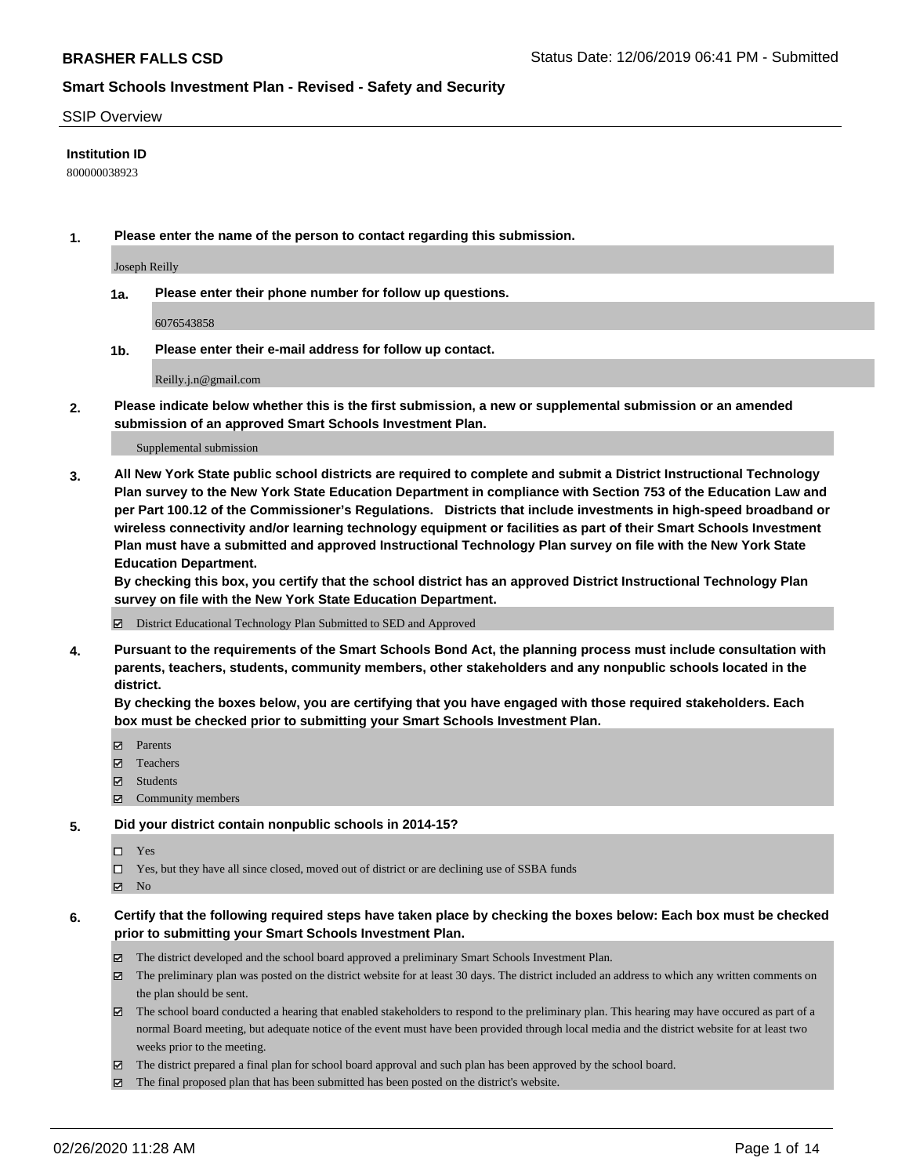#### SSIP Overview

### **Institution ID**

800000038923

**1. Please enter the name of the person to contact regarding this submission.**

Joseph Reilly

**1a. Please enter their phone number for follow up questions.**

6076543858

**1b. Please enter their e-mail address for follow up contact.**

Reilly.j.n@gmail.com

**2. Please indicate below whether this is the first submission, a new or supplemental submission or an amended submission of an approved Smart Schools Investment Plan.**

#### Supplemental submission

**3. All New York State public school districts are required to complete and submit a District Instructional Technology Plan survey to the New York State Education Department in compliance with Section 753 of the Education Law and per Part 100.12 of the Commissioner's Regulations. Districts that include investments in high-speed broadband or wireless connectivity and/or learning technology equipment or facilities as part of their Smart Schools Investment Plan must have a submitted and approved Instructional Technology Plan survey on file with the New York State Education Department.** 

**By checking this box, you certify that the school district has an approved District Instructional Technology Plan survey on file with the New York State Education Department.**

District Educational Technology Plan Submitted to SED and Approved

**4. Pursuant to the requirements of the Smart Schools Bond Act, the planning process must include consultation with parents, teachers, students, community members, other stakeholders and any nonpublic schools located in the district.** 

**By checking the boxes below, you are certifying that you have engaged with those required stakeholders. Each box must be checked prior to submitting your Smart Schools Investment Plan.**

- **マ** Parents
- Teachers
- Students
- Community members

#### **5. Did your district contain nonpublic schools in 2014-15?**

 $\neg$  Yes

Yes, but they have all since closed, moved out of district or are declining use of SSBA funds

**Z** No

### **6. Certify that the following required steps have taken place by checking the boxes below: Each box must be checked prior to submitting your Smart Schools Investment Plan.**

- The district developed and the school board approved a preliminary Smart Schools Investment Plan.
- $\boxtimes$  The preliminary plan was posted on the district website for at least 30 days. The district included an address to which any written comments on the plan should be sent.
- $\boxtimes$  The school board conducted a hearing that enabled stakeholders to respond to the preliminary plan. This hearing may have occured as part of a normal Board meeting, but adequate notice of the event must have been provided through local media and the district website for at least two weeks prior to the meeting.
- The district prepared a final plan for school board approval and such plan has been approved by the school board.
- $\boxtimes$  The final proposed plan that has been submitted has been posted on the district's website.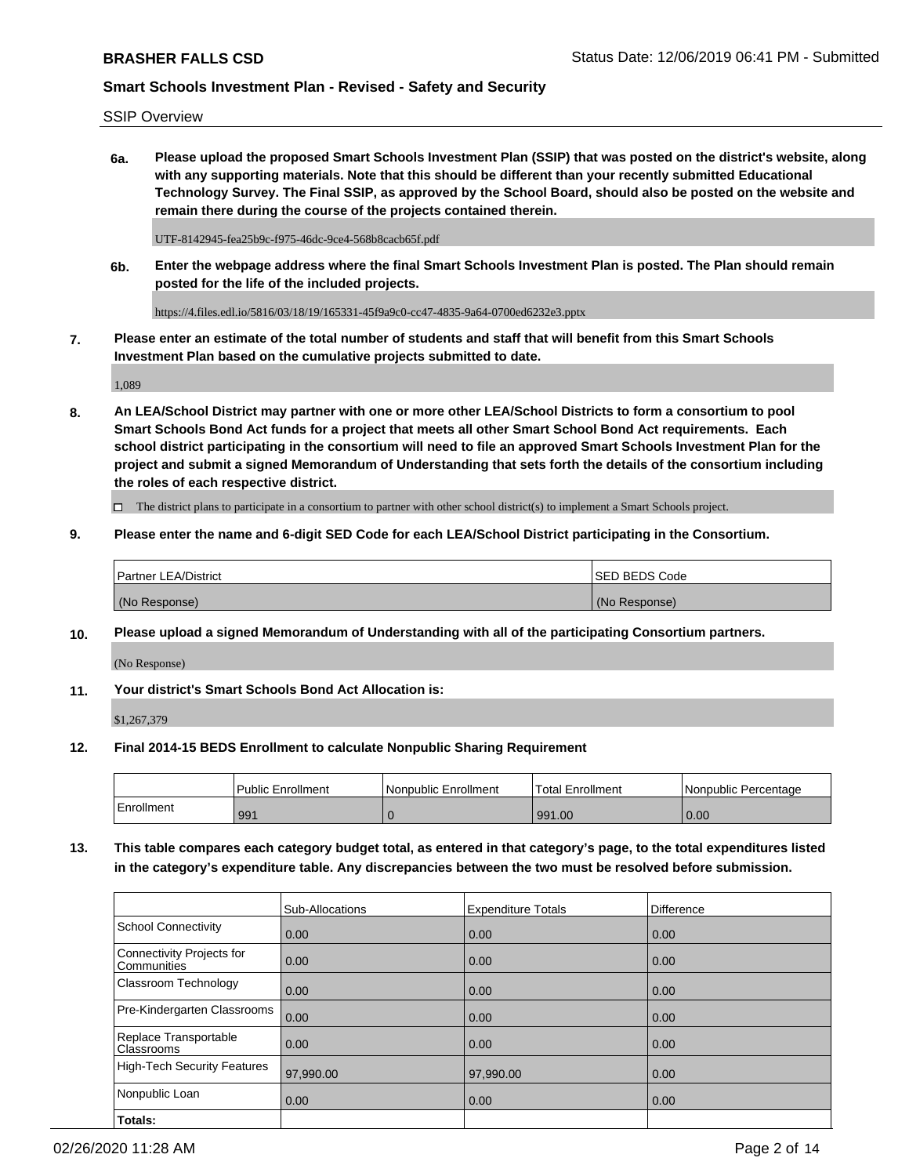SSIP Overview

**6a. Please upload the proposed Smart Schools Investment Plan (SSIP) that was posted on the district's website, along with any supporting materials. Note that this should be different than your recently submitted Educational Technology Survey. The Final SSIP, as approved by the School Board, should also be posted on the website and remain there during the course of the projects contained therein.**

UTF-8142945-fea25b9c-f975-46dc-9ce4-568b8cacb65f.pdf

**6b. Enter the webpage address where the final Smart Schools Investment Plan is posted. The Plan should remain posted for the life of the included projects.**

https://4.files.edl.io/5816/03/18/19/165331-45f9a9c0-cc47-4835-9a64-0700ed6232e3.pptx

**7. Please enter an estimate of the total number of students and staff that will benefit from this Smart Schools Investment Plan based on the cumulative projects submitted to date.**

1,089

**8. An LEA/School District may partner with one or more other LEA/School Districts to form a consortium to pool Smart Schools Bond Act funds for a project that meets all other Smart School Bond Act requirements. Each school district participating in the consortium will need to file an approved Smart Schools Investment Plan for the project and submit a signed Memorandum of Understanding that sets forth the details of the consortium including the roles of each respective district.**

 $\Box$  The district plans to participate in a consortium to partner with other school district(s) to implement a Smart Schools project.

### **9. Please enter the name and 6-digit SED Code for each LEA/School District participating in the Consortium.**

| Partner LEA/District | <b>ISED BEDS Code</b> |
|----------------------|-----------------------|
| (No Response)        | (No Response)         |

### **10. Please upload a signed Memorandum of Understanding with all of the participating Consortium partners.**

(No Response)

**11. Your district's Smart Schools Bond Act Allocation is:**

\$1,267,379

#### **12. Final 2014-15 BEDS Enrollment to calculate Nonpublic Sharing Requirement**

|            | <b>Public Enrollment</b> | Nonpublic Enrollment | <b>Total Enrollment</b> | l Nonpublic Percentage |
|------------|--------------------------|----------------------|-------------------------|------------------------|
| Enrollment | 991                      |                      | 991.00                  | 0.00                   |

**13. This table compares each category budget total, as entered in that category's page, to the total expenditures listed in the category's expenditure table. Any discrepancies between the two must be resolved before submission.**

|                                          | Sub-Allocations | <b>Expenditure Totals</b> | <b>Difference</b> |
|------------------------------------------|-----------------|---------------------------|-------------------|
| <b>School Connectivity</b>               | 0.00            | 0.00                      | 0.00              |
| Connectivity Projects for<br>Communities | 0.00            | 0.00                      | 0.00              |
| Classroom Technology                     | 0.00            | 0.00                      | 0.00              |
| Pre-Kindergarten Classrooms              | 0.00            | 0.00                      | 0.00              |
| Replace Transportable<br>Classrooms      | 0.00            | 0.00                      | 0.00              |
| High-Tech Security Features              | 97,990.00       | 97,990.00                 | 0.00              |
| Nonpublic Loan                           | 0.00            | 0.00                      | 0.00              |
| Totals:                                  |                 |                           |                   |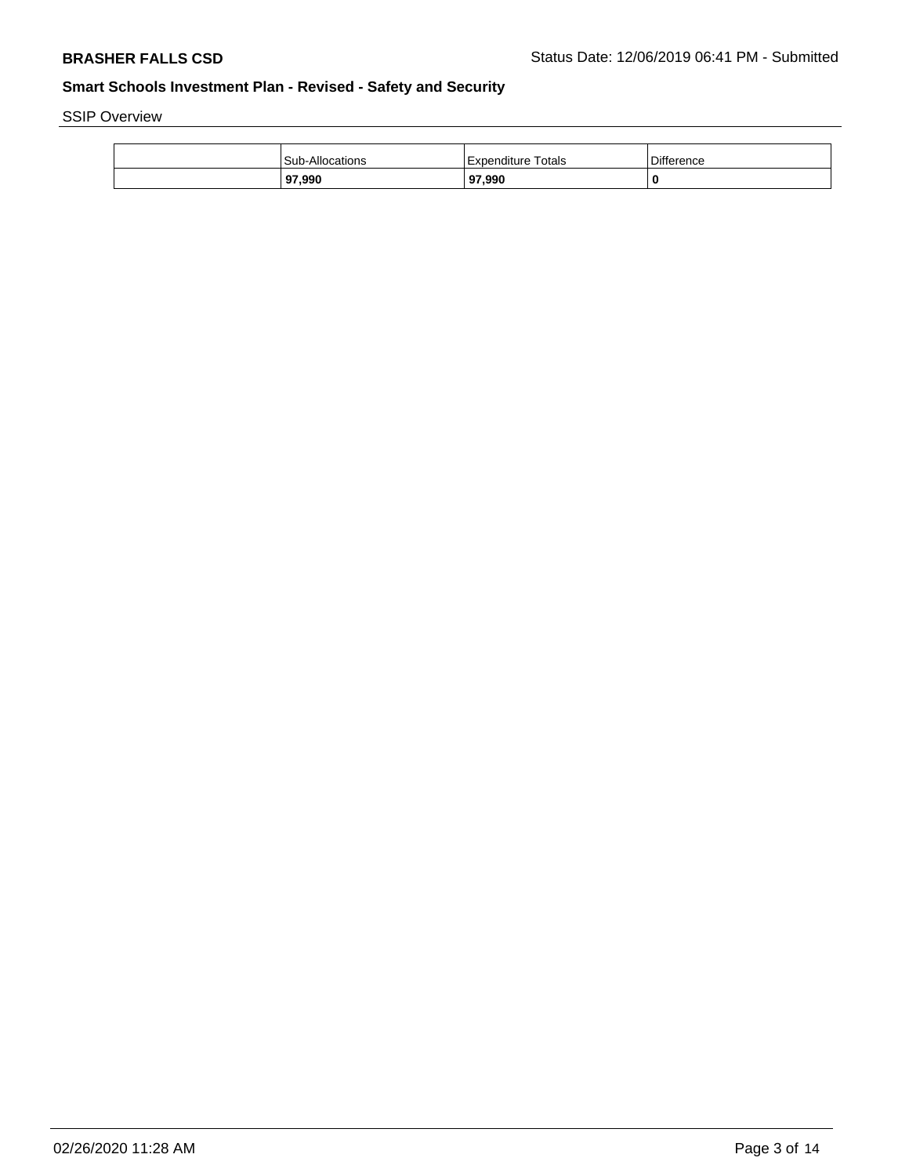SSIP Overview

| Sub-Allocations | Гotals<br>l Expenditure | <b>Difference</b> |
|-----------------|-------------------------|-------------------|
| 97,990          | 97,990                  | 0                 |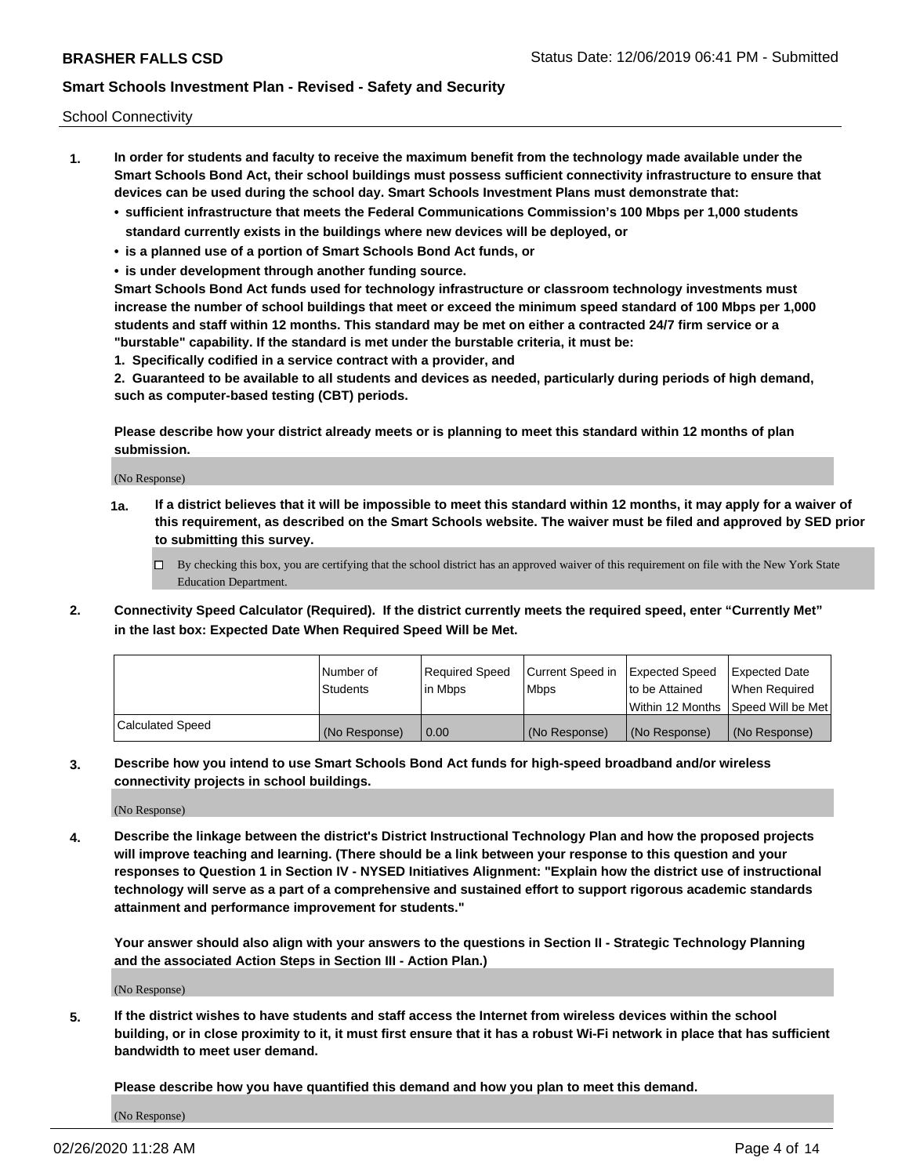School Connectivity

- **1. In order for students and faculty to receive the maximum benefit from the technology made available under the Smart Schools Bond Act, their school buildings must possess sufficient connectivity infrastructure to ensure that devices can be used during the school day. Smart Schools Investment Plans must demonstrate that:**
	- **• sufficient infrastructure that meets the Federal Communications Commission's 100 Mbps per 1,000 students standard currently exists in the buildings where new devices will be deployed, or**
	- **• is a planned use of a portion of Smart Schools Bond Act funds, or**
	- **• is under development through another funding source.**

**Smart Schools Bond Act funds used for technology infrastructure or classroom technology investments must increase the number of school buildings that meet or exceed the minimum speed standard of 100 Mbps per 1,000 students and staff within 12 months. This standard may be met on either a contracted 24/7 firm service or a "burstable" capability. If the standard is met under the burstable criteria, it must be:**

**1. Specifically codified in a service contract with a provider, and**

**2. Guaranteed to be available to all students and devices as needed, particularly during periods of high demand, such as computer-based testing (CBT) periods.**

**Please describe how your district already meets or is planning to meet this standard within 12 months of plan submission.**

(No Response)

**1a. If a district believes that it will be impossible to meet this standard within 12 months, it may apply for a waiver of this requirement, as described on the Smart Schools website. The waiver must be filed and approved by SED prior to submitting this survey.**

 $\Box$  By checking this box, you are certifying that the school district has an approved waiver of this requirement on file with the New York State Education Department.

**2. Connectivity Speed Calculator (Required). If the district currently meets the required speed, enter "Currently Met" in the last box: Expected Date When Required Speed Will be Met.**

|                  | l Number of     | Required Speed | Current Speed in | Expected Speed | Expected Date                        |
|------------------|-----------------|----------------|------------------|----------------|--------------------------------------|
|                  | <b>Students</b> | In Mbps        | <b>Mbps</b>      | to be Attained | When Required                        |
|                  |                 |                |                  |                | Within 12 Months 1Speed Will be Met1 |
| Calculated Speed | (No Response)   | 0.00           | (No Response)    | (No Response)  | l (No Response)                      |

**3. Describe how you intend to use Smart Schools Bond Act funds for high-speed broadband and/or wireless connectivity projects in school buildings.**

(No Response)

**4. Describe the linkage between the district's District Instructional Technology Plan and how the proposed projects will improve teaching and learning. (There should be a link between your response to this question and your responses to Question 1 in Section IV - NYSED Initiatives Alignment: "Explain how the district use of instructional technology will serve as a part of a comprehensive and sustained effort to support rigorous academic standards attainment and performance improvement for students."** 

**Your answer should also align with your answers to the questions in Section II - Strategic Technology Planning and the associated Action Steps in Section III - Action Plan.)**

(No Response)

**5. If the district wishes to have students and staff access the Internet from wireless devices within the school building, or in close proximity to it, it must first ensure that it has a robust Wi-Fi network in place that has sufficient bandwidth to meet user demand.**

**Please describe how you have quantified this demand and how you plan to meet this demand.**

(No Response)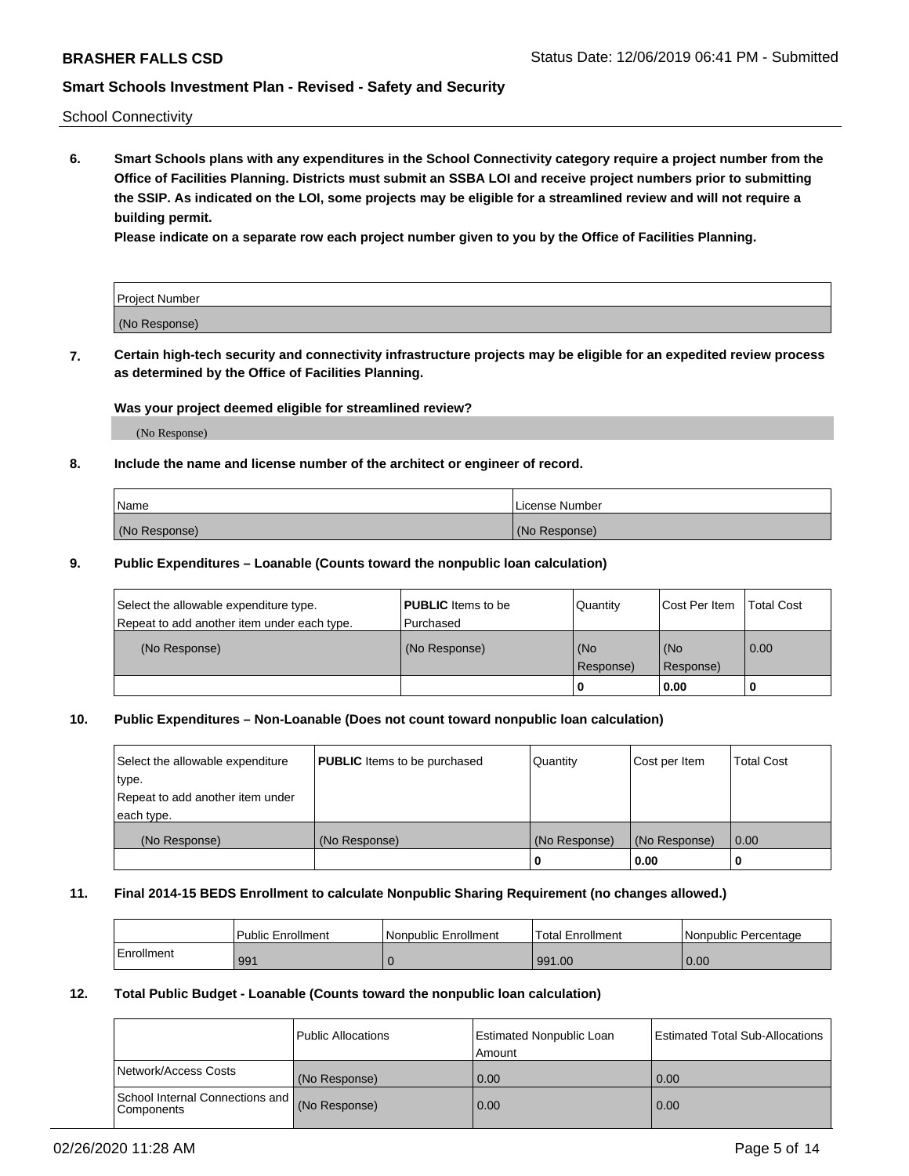School Connectivity

**6. Smart Schools plans with any expenditures in the School Connectivity category require a project number from the Office of Facilities Planning. Districts must submit an SSBA LOI and receive project numbers prior to submitting the SSIP. As indicated on the LOI, some projects may be eligible for a streamlined review and will not require a building permit.**

**Please indicate on a separate row each project number given to you by the Office of Facilities Planning.**

| Project Number |  |
|----------------|--|
| (No Response)  |  |

**7. Certain high-tech security and connectivity infrastructure projects may be eligible for an expedited review process as determined by the Office of Facilities Planning.**

### **Was your project deemed eligible for streamlined review?**

(No Response)

### **8. Include the name and license number of the architect or engineer of record.**

| Name          | License Number |
|---------------|----------------|
| (No Response) | (No Response)  |

### **9. Public Expenditures – Loanable (Counts toward the nonpublic loan calculation)**

| Select the allowable expenditure type.<br>Repeat to add another item under each type. | <b>PUBLIC</b> Items to be<br>l Purchased | Quantity           | Cost Per Item    | <b>Total Cost</b> |
|---------------------------------------------------------------------------------------|------------------------------------------|--------------------|------------------|-------------------|
| (No Response)                                                                         | (No Response)                            | l (No<br>Response) | (No<br>Response) | $\overline{0.00}$ |
|                                                                                       |                                          | O                  | 0.00             |                   |

### **10. Public Expenditures – Non-Loanable (Does not count toward nonpublic loan calculation)**

| Select the allowable expenditure<br>type.<br>Repeat to add another item under<br>each type. | <b>PUBLIC</b> Items to be purchased | Quantity      | Cost per Item | <b>Total Cost</b> |
|---------------------------------------------------------------------------------------------|-------------------------------------|---------------|---------------|-------------------|
| (No Response)                                                                               | (No Response)                       | (No Response) | (No Response) | 0.00              |
|                                                                                             |                                     |               | 0.00          |                   |

#### **11. Final 2014-15 BEDS Enrollment to calculate Nonpublic Sharing Requirement (no changes allowed.)**

|            | Public Enrollment | Nonpublic Enrollment | Total Enrollment | l Nonpublic Percentage |
|------------|-------------------|----------------------|------------------|------------------------|
| Enrollment | 991               |                      | 991.00           | 0.00                   |

### **12. Total Public Budget - Loanable (Counts toward the nonpublic loan calculation)**

|                                                      | Public Allocations | <b>Estimated Nonpublic Loan</b><br>Amount | Estimated Total Sub-Allocations |
|------------------------------------------------------|--------------------|-------------------------------------------|---------------------------------|
| Network/Access Costs                                 | (No Response)      | 0.00                                      | 0.00                            |
| School Internal Connections and<br><b>Components</b> | (No Response)      | 0.00                                      | 0.00                            |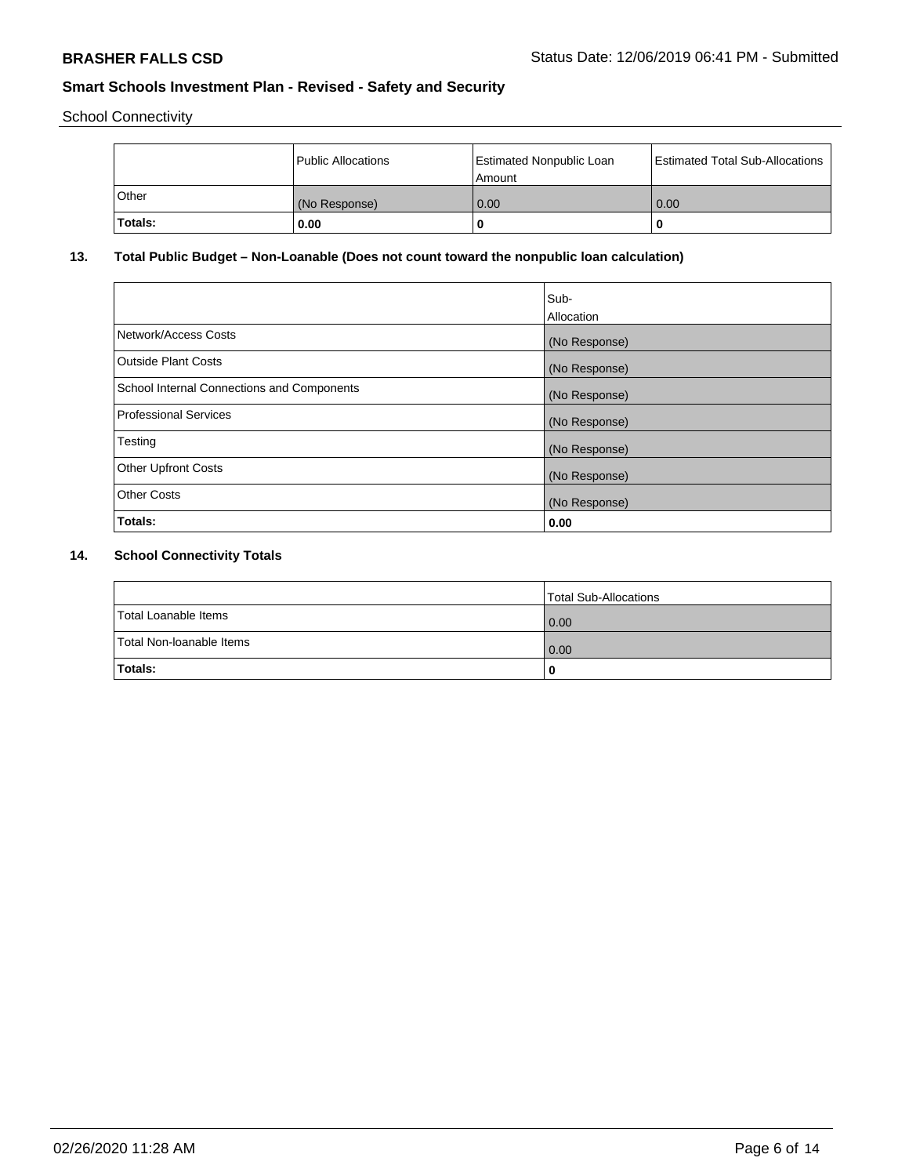School Connectivity

|         | Public Allocations | <b>Estimated Nonpublic Loan</b><br>Amount | <b>Estimated Total Sub-Allocations</b> |
|---------|--------------------|-------------------------------------------|----------------------------------------|
| l Other | (No Response)      | 0.00                                      | 0.00                                   |
| Totals: | 0.00               | 0                                         |                                        |

# **13. Total Public Budget – Non-Loanable (Does not count toward the nonpublic loan calculation)**

| Sub-<br>Allocation |
|--------------------|
| (No Response)      |
| (No Response)      |
| (No Response)      |
| (No Response)      |
| (No Response)      |
| (No Response)      |
| (No Response)      |
| 0.00               |
|                    |

# **14. School Connectivity Totals**

|                          | Total Sub-Allocations |
|--------------------------|-----------------------|
| Total Loanable Items     | 0.00                  |
| Total Non-Ioanable Items | 0.00                  |
| Totals:                  | 0                     |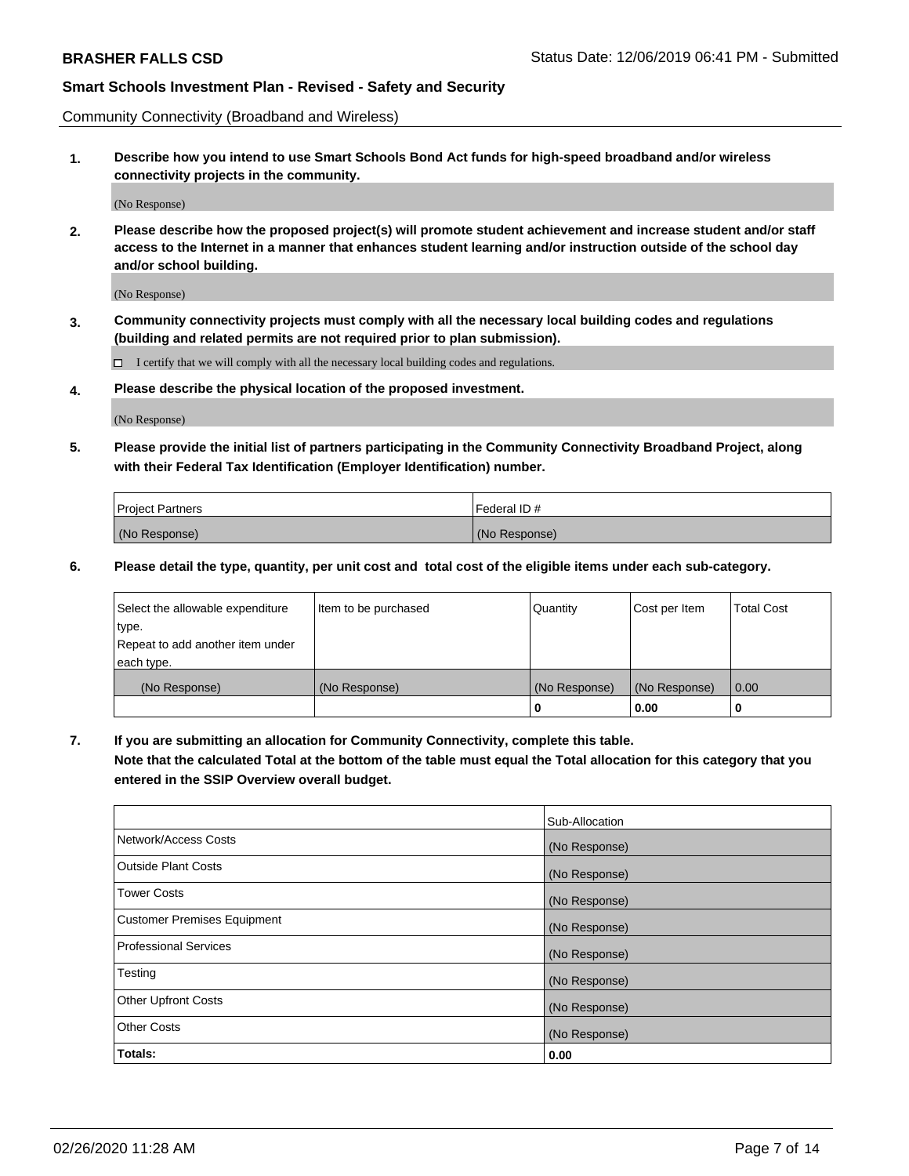Community Connectivity (Broadband and Wireless)

**1. Describe how you intend to use Smart Schools Bond Act funds for high-speed broadband and/or wireless connectivity projects in the community.**

(No Response)

**2. Please describe how the proposed project(s) will promote student achievement and increase student and/or staff access to the Internet in a manner that enhances student learning and/or instruction outside of the school day and/or school building.**

(No Response)

**3. Community connectivity projects must comply with all the necessary local building codes and regulations (building and related permits are not required prior to plan submission).**

 $\Box$  I certify that we will comply with all the necessary local building codes and regulations.

**4. Please describe the physical location of the proposed investment.**

(No Response)

**5. Please provide the initial list of partners participating in the Community Connectivity Broadband Project, along with their Federal Tax Identification (Employer Identification) number.**

| <b>Project Partners</b> | l Federal ID # |
|-------------------------|----------------|
| (No Response)           | (No Response)  |

**6. Please detail the type, quantity, per unit cost and total cost of the eligible items under each sub-category.**

| Select the allowable expenditure | Item to be purchased | Quantity      | Cost per Item | <b>Total Cost</b> |
|----------------------------------|----------------------|---------------|---------------|-------------------|
| type.                            |                      |               |               |                   |
| Repeat to add another item under |                      |               |               |                   |
| each type.                       |                      |               |               |                   |
| (No Response)                    | (No Response)        | (No Response) | (No Response) | 0.00              |
|                                  |                      | U             | 0.00          |                   |

**7. If you are submitting an allocation for Community Connectivity, complete this table.**

**Note that the calculated Total at the bottom of the table must equal the Total allocation for this category that you entered in the SSIP Overview overall budget.**

|                                    | Sub-Allocation |
|------------------------------------|----------------|
| Network/Access Costs               | (No Response)  |
| Outside Plant Costs                | (No Response)  |
| <b>Tower Costs</b>                 | (No Response)  |
| <b>Customer Premises Equipment</b> | (No Response)  |
| <b>Professional Services</b>       | (No Response)  |
| Testing                            | (No Response)  |
| <b>Other Upfront Costs</b>         | (No Response)  |
| <b>Other Costs</b>                 | (No Response)  |
| Totals:                            | 0.00           |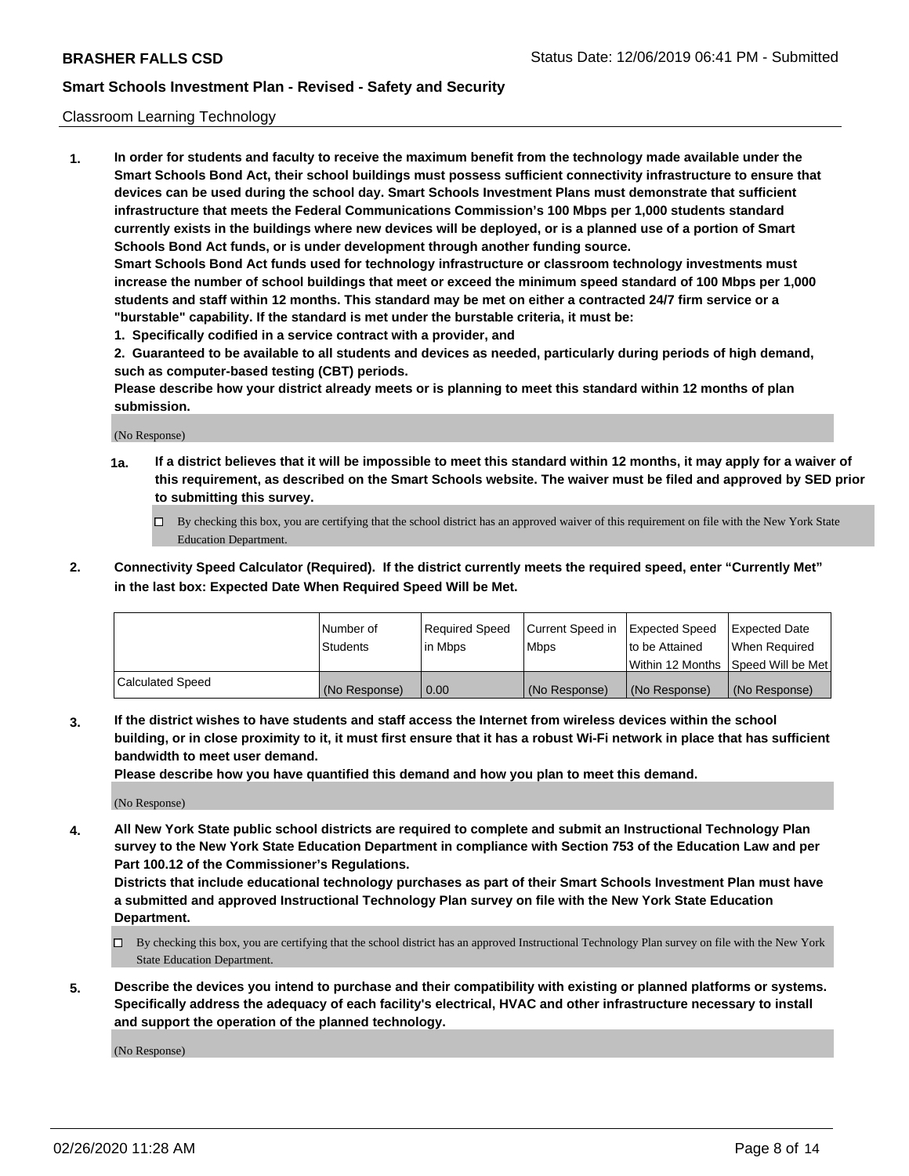#### Classroom Learning Technology

**1. In order for students and faculty to receive the maximum benefit from the technology made available under the Smart Schools Bond Act, their school buildings must possess sufficient connectivity infrastructure to ensure that devices can be used during the school day. Smart Schools Investment Plans must demonstrate that sufficient infrastructure that meets the Federal Communications Commission's 100 Mbps per 1,000 students standard currently exists in the buildings where new devices will be deployed, or is a planned use of a portion of Smart Schools Bond Act funds, or is under development through another funding source. Smart Schools Bond Act funds used for technology infrastructure or classroom technology investments must increase the number of school buildings that meet or exceed the minimum speed standard of 100 Mbps per 1,000 students and staff within 12 months. This standard may be met on either a contracted 24/7 firm service or a**

- **"burstable" capability. If the standard is met under the burstable criteria, it must be:**
- **1. Specifically codified in a service contract with a provider, and**

**2. Guaranteed to be available to all students and devices as needed, particularly during periods of high demand, such as computer-based testing (CBT) periods.**

**Please describe how your district already meets or is planning to meet this standard within 12 months of plan submission.**

(No Response)

- **1a. If a district believes that it will be impossible to meet this standard within 12 months, it may apply for a waiver of this requirement, as described on the Smart Schools website. The waiver must be filed and approved by SED prior to submitting this survey.**
	- By checking this box, you are certifying that the school district has an approved waiver of this requirement on file with the New York State Education Department.
- **2. Connectivity Speed Calculator (Required). If the district currently meets the required speed, enter "Currently Met" in the last box: Expected Date When Required Speed Will be Met.**

|                  | l Number of     | Required Speed | Current Speed in | <b>Expected Speed</b> | <b>Expected Date</b>                |
|------------------|-----------------|----------------|------------------|-----------------------|-------------------------------------|
|                  | <b>Students</b> | l in Mbps      | l Mbps           | to be Attained        | When Required                       |
|                  |                 |                |                  |                       | Within 12 Months  Speed Will be Met |
| Calculated Speed | (No Response)   | 0.00           | (No Response)    | l (No Response)       | (No Response)                       |

**3. If the district wishes to have students and staff access the Internet from wireless devices within the school building, or in close proximity to it, it must first ensure that it has a robust Wi-Fi network in place that has sufficient bandwidth to meet user demand.**

**Please describe how you have quantified this demand and how you plan to meet this demand.**

(No Response)

**4. All New York State public school districts are required to complete and submit an Instructional Technology Plan survey to the New York State Education Department in compliance with Section 753 of the Education Law and per Part 100.12 of the Commissioner's Regulations.**

**Districts that include educational technology purchases as part of their Smart Schools Investment Plan must have a submitted and approved Instructional Technology Plan survey on file with the New York State Education Department.**

- By checking this box, you are certifying that the school district has an approved Instructional Technology Plan survey on file with the New York State Education Department.
- **5. Describe the devices you intend to purchase and their compatibility with existing or planned platforms or systems. Specifically address the adequacy of each facility's electrical, HVAC and other infrastructure necessary to install and support the operation of the planned technology.**

(No Response)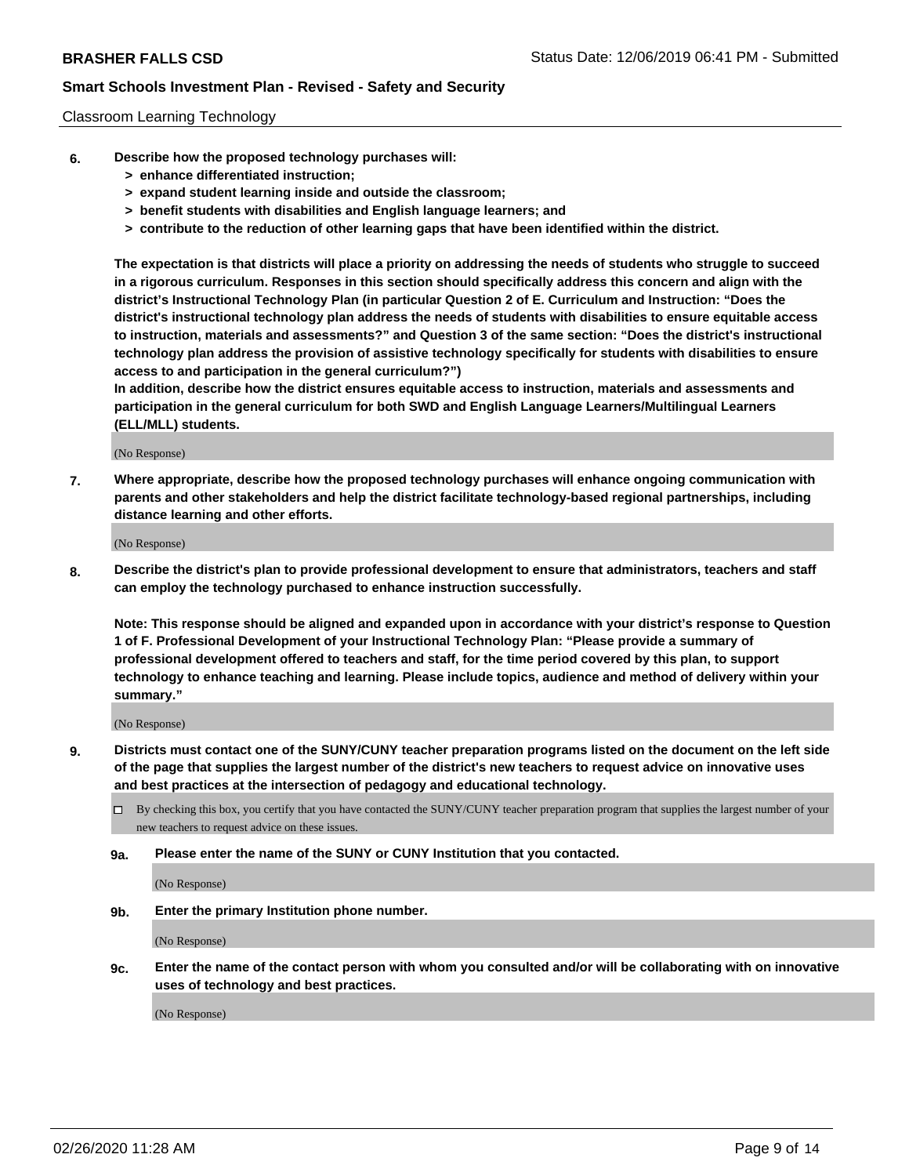#### Classroom Learning Technology

- **6. Describe how the proposed technology purchases will:**
	- **> enhance differentiated instruction;**
	- **> expand student learning inside and outside the classroom;**
	- **> benefit students with disabilities and English language learners; and**
	- **> contribute to the reduction of other learning gaps that have been identified within the district.**

**The expectation is that districts will place a priority on addressing the needs of students who struggle to succeed in a rigorous curriculum. Responses in this section should specifically address this concern and align with the district's Instructional Technology Plan (in particular Question 2 of E. Curriculum and Instruction: "Does the district's instructional technology plan address the needs of students with disabilities to ensure equitable access to instruction, materials and assessments?" and Question 3 of the same section: "Does the district's instructional technology plan address the provision of assistive technology specifically for students with disabilities to ensure access to and participation in the general curriculum?")**

**In addition, describe how the district ensures equitable access to instruction, materials and assessments and participation in the general curriculum for both SWD and English Language Learners/Multilingual Learners (ELL/MLL) students.**

(No Response)

**7. Where appropriate, describe how the proposed technology purchases will enhance ongoing communication with parents and other stakeholders and help the district facilitate technology-based regional partnerships, including distance learning and other efforts.**

(No Response)

**8. Describe the district's plan to provide professional development to ensure that administrators, teachers and staff can employ the technology purchased to enhance instruction successfully.**

**Note: This response should be aligned and expanded upon in accordance with your district's response to Question 1 of F. Professional Development of your Instructional Technology Plan: "Please provide a summary of professional development offered to teachers and staff, for the time period covered by this plan, to support technology to enhance teaching and learning. Please include topics, audience and method of delivery within your summary."**

(No Response)

- **9. Districts must contact one of the SUNY/CUNY teacher preparation programs listed on the document on the left side of the page that supplies the largest number of the district's new teachers to request advice on innovative uses and best practices at the intersection of pedagogy and educational technology.**
	- By checking this box, you certify that you have contacted the SUNY/CUNY teacher preparation program that supplies the largest number of your new teachers to request advice on these issues.
	- **9a. Please enter the name of the SUNY or CUNY Institution that you contacted.**

(No Response)

**9b. Enter the primary Institution phone number.**

(No Response)

**9c. Enter the name of the contact person with whom you consulted and/or will be collaborating with on innovative uses of technology and best practices.**

(No Response)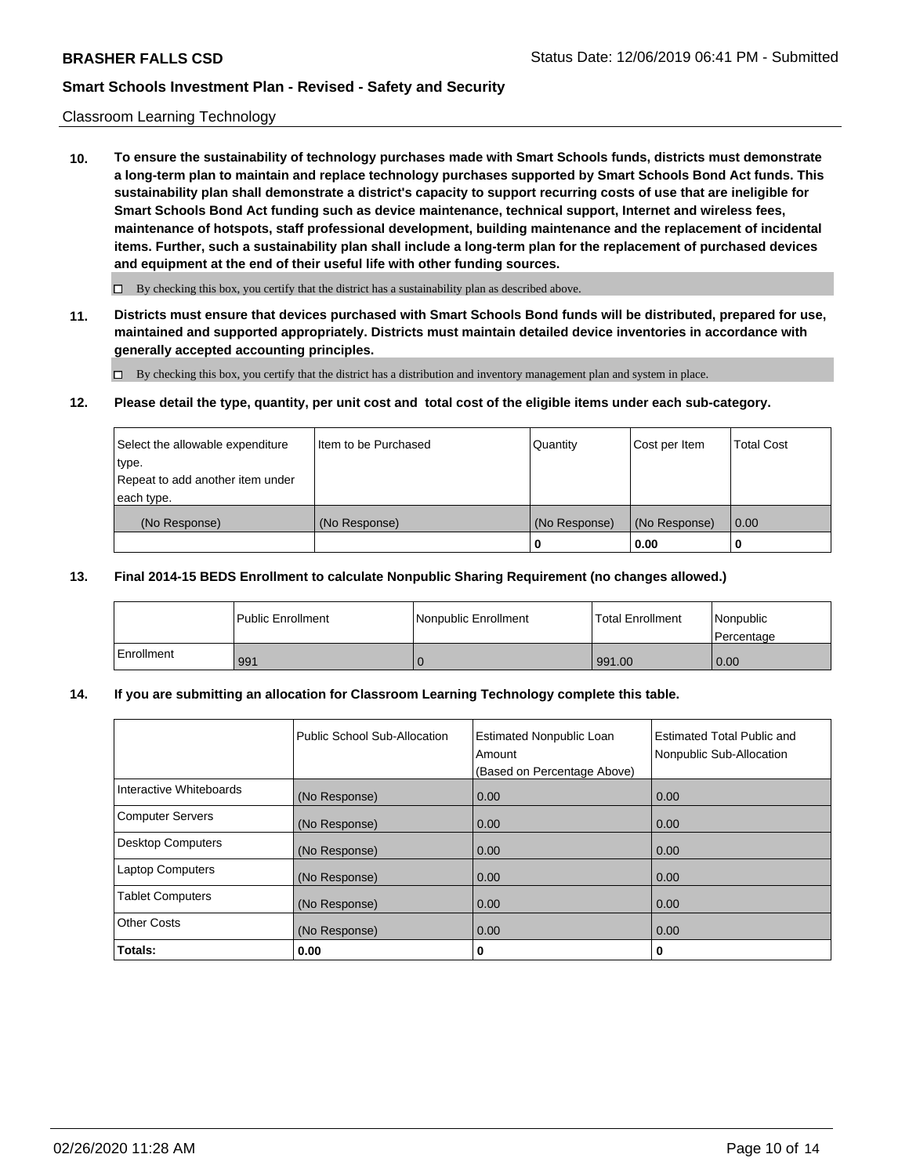### Classroom Learning Technology

**10. To ensure the sustainability of technology purchases made with Smart Schools funds, districts must demonstrate a long-term plan to maintain and replace technology purchases supported by Smart Schools Bond Act funds. This sustainability plan shall demonstrate a district's capacity to support recurring costs of use that are ineligible for Smart Schools Bond Act funding such as device maintenance, technical support, Internet and wireless fees, maintenance of hotspots, staff professional development, building maintenance and the replacement of incidental items. Further, such a sustainability plan shall include a long-term plan for the replacement of purchased devices and equipment at the end of their useful life with other funding sources.**

 $\Box$  By checking this box, you certify that the district has a sustainability plan as described above.

**11. Districts must ensure that devices purchased with Smart Schools Bond funds will be distributed, prepared for use, maintained and supported appropriately. Districts must maintain detailed device inventories in accordance with generally accepted accounting principles.**

By checking this box, you certify that the district has a distribution and inventory management plan and system in place.

#### **12. Please detail the type, quantity, per unit cost and total cost of the eligible items under each sub-category.**

| Select the allowable expenditure<br>type.<br>Repeat to add another item under | Item to be Purchased | Quantity      | Cost per Item | <b>Total Cost</b> |
|-------------------------------------------------------------------------------|----------------------|---------------|---------------|-------------------|
| each type.<br>(No Response)                                                   | (No Response)        | (No Response) | (No Response) | 0.00              |
|                                                                               |                      | 0             | 0.00          |                   |

#### **13. Final 2014-15 BEDS Enrollment to calculate Nonpublic Sharing Requirement (no changes allowed.)**

|            | <b>Public Enrollment</b> | Nonpublic Enrollment | <b>Total Enrollment</b> | Nonpublic<br>l Percentage |
|------------|--------------------------|----------------------|-------------------------|---------------------------|
| Enrollment | 991                      |                      | 991.00                  | 0.00                      |

### **14. If you are submitting an allocation for Classroom Learning Technology complete this table.**

|                          | Public School Sub-Allocation | <b>Estimated Nonpublic Loan</b><br>Amount<br>(Based on Percentage Above) | <b>Estimated Total Public and</b><br>Nonpublic Sub-Allocation |
|--------------------------|------------------------------|--------------------------------------------------------------------------|---------------------------------------------------------------|
| Interactive Whiteboards  | (No Response)                | 0.00                                                                     | 0.00                                                          |
| <b>Computer Servers</b>  | (No Response)                | 0.00                                                                     | 0.00                                                          |
| <b>Desktop Computers</b> | (No Response)                | 0.00                                                                     | 0.00                                                          |
| <b>Laptop Computers</b>  | (No Response)                | 0.00                                                                     | 0.00                                                          |
| <b>Tablet Computers</b>  | (No Response)                | 0.00                                                                     | 0.00                                                          |
| <b>Other Costs</b>       | (No Response)                | 0.00                                                                     | 0.00                                                          |
| Totals:                  | 0.00                         | 0                                                                        | 0                                                             |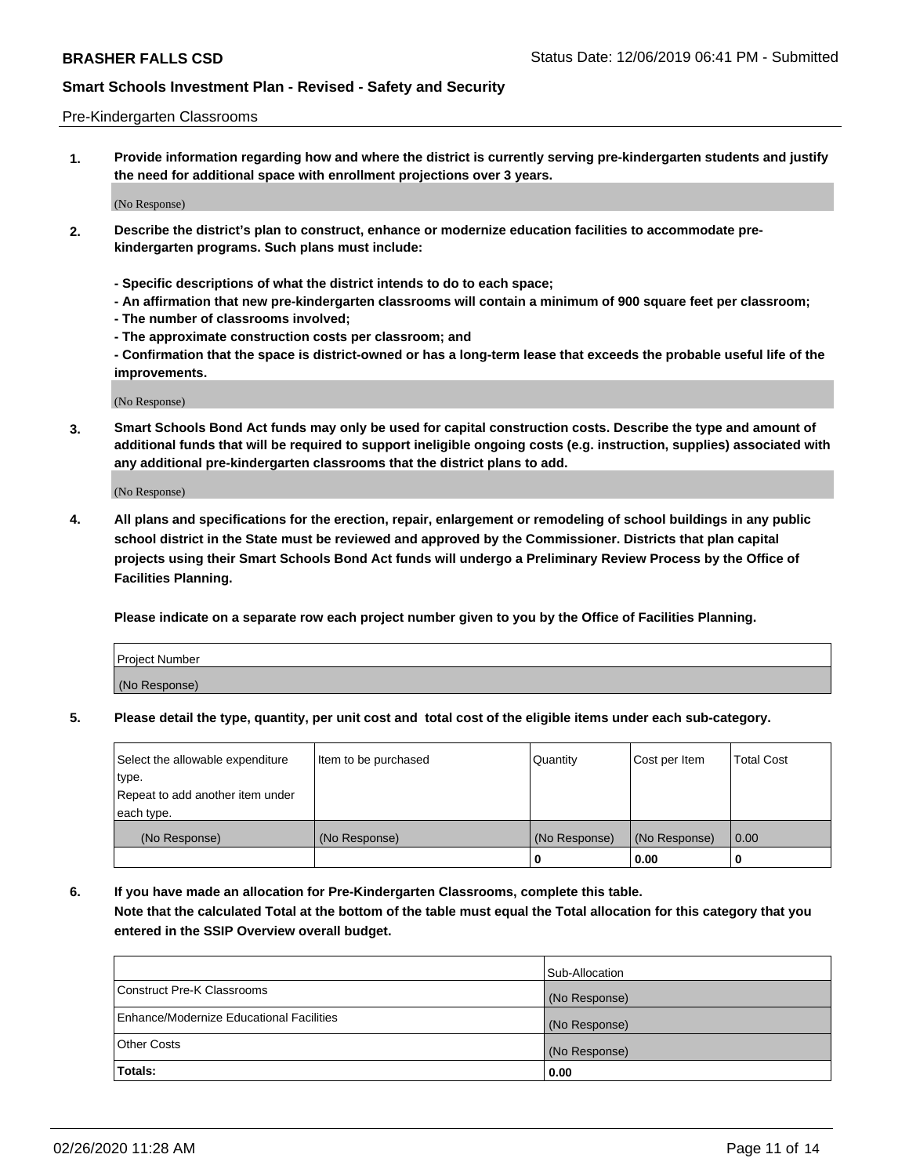#### Pre-Kindergarten Classrooms

**1. Provide information regarding how and where the district is currently serving pre-kindergarten students and justify the need for additional space with enrollment projections over 3 years.**

(No Response)

- **2. Describe the district's plan to construct, enhance or modernize education facilities to accommodate prekindergarten programs. Such plans must include:**
	- **Specific descriptions of what the district intends to do to each space;**
	- **An affirmation that new pre-kindergarten classrooms will contain a minimum of 900 square feet per classroom;**
	- **The number of classrooms involved;**
	- **The approximate construction costs per classroom; and**
	- **Confirmation that the space is district-owned or has a long-term lease that exceeds the probable useful life of the improvements.**

(No Response)

**3. Smart Schools Bond Act funds may only be used for capital construction costs. Describe the type and amount of additional funds that will be required to support ineligible ongoing costs (e.g. instruction, supplies) associated with any additional pre-kindergarten classrooms that the district plans to add.**

(No Response)

**4. All plans and specifications for the erection, repair, enlargement or remodeling of school buildings in any public school district in the State must be reviewed and approved by the Commissioner. Districts that plan capital projects using their Smart Schools Bond Act funds will undergo a Preliminary Review Process by the Office of Facilities Planning.**

**Please indicate on a separate row each project number given to you by the Office of Facilities Planning.**

| Project Number |  |
|----------------|--|
| (No Response)  |  |
|                |  |

**5. Please detail the type, quantity, per unit cost and total cost of the eligible items under each sub-category.**

| Select the allowable expenditure | Item to be purchased | Quantity      | Cost per Item | <b>Total Cost</b> |
|----------------------------------|----------------------|---------------|---------------|-------------------|
| type.                            |                      |               |               |                   |
| Repeat to add another item under |                      |               |               |                   |
| each type.                       |                      |               |               |                   |
| (No Response)                    | (No Response)        | (No Response) | (No Response) | 0.00              |
|                                  |                      | U             | 0.00          |                   |

**6. If you have made an allocation for Pre-Kindergarten Classrooms, complete this table. Note that the calculated Total at the bottom of the table must equal the Total allocation for this category that you entered in the SSIP Overview overall budget.**

|                                          | Sub-Allocation |
|------------------------------------------|----------------|
| Construct Pre-K Classrooms               | (No Response)  |
| Enhance/Modernize Educational Facilities | (No Response)  |
| <b>Other Costs</b>                       | (No Response)  |
| Totals:                                  | 0.00           |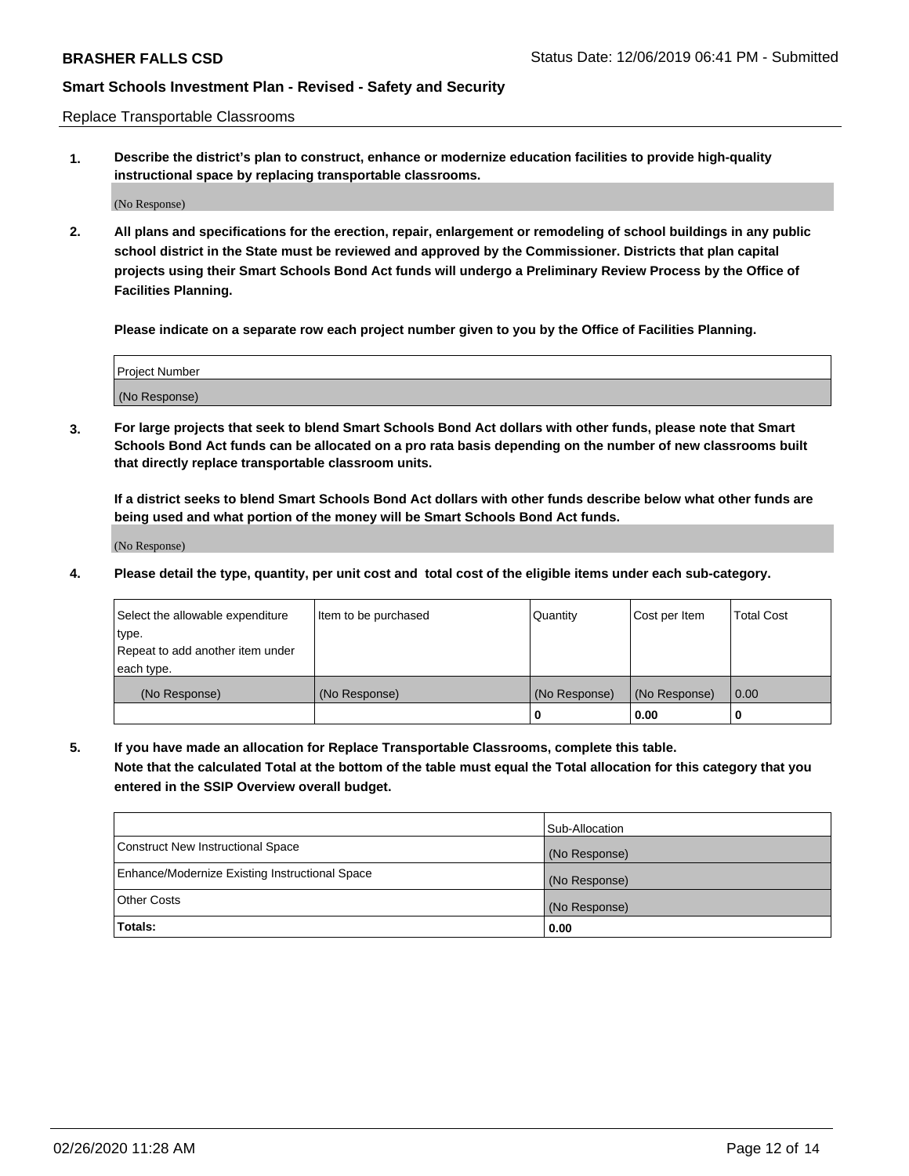Replace Transportable Classrooms

**1. Describe the district's plan to construct, enhance or modernize education facilities to provide high-quality instructional space by replacing transportable classrooms.**

(No Response)

**2. All plans and specifications for the erection, repair, enlargement or remodeling of school buildings in any public school district in the State must be reviewed and approved by the Commissioner. Districts that plan capital projects using their Smart Schools Bond Act funds will undergo a Preliminary Review Process by the Office of Facilities Planning.**

**Please indicate on a separate row each project number given to you by the Office of Facilities Planning.**

| Project Number |  |
|----------------|--|
|                |  |
|                |  |
|                |  |
|                |  |
| (No Response)  |  |
|                |  |
|                |  |
|                |  |

**3. For large projects that seek to blend Smart Schools Bond Act dollars with other funds, please note that Smart Schools Bond Act funds can be allocated on a pro rata basis depending on the number of new classrooms built that directly replace transportable classroom units.**

**If a district seeks to blend Smart Schools Bond Act dollars with other funds describe below what other funds are being used and what portion of the money will be Smart Schools Bond Act funds.**

(No Response)

**4. Please detail the type, quantity, per unit cost and total cost of the eligible items under each sub-category.**

| Select the allowable expenditure | Item to be purchased | Quantity      | Cost per Item | Total Cost |
|----------------------------------|----------------------|---------------|---------------|------------|
| ∣type.                           |                      |               |               |            |
| Repeat to add another item under |                      |               |               |            |
| each type.                       |                      |               |               |            |
| (No Response)                    | (No Response)        | (No Response) | (No Response) | 0.00       |
|                                  |                      | u             | 0.00          |            |

**5. If you have made an allocation for Replace Transportable Classrooms, complete this table. Note that the calculated Total at the bottom of the table must equal the Total allocation for this category that you entered in the SSIP Overview overall budget.**

|                                                | Sub-Allocation |
|------------------------------------------------|----------------|
| Construct New Instructional Space              | (No Response)  |
| Enhance/Modernize Existing Instructional Space | (No Response)  |
| Other Costs                                    | (No Response)  |
| Totals:                                        | 0.00           |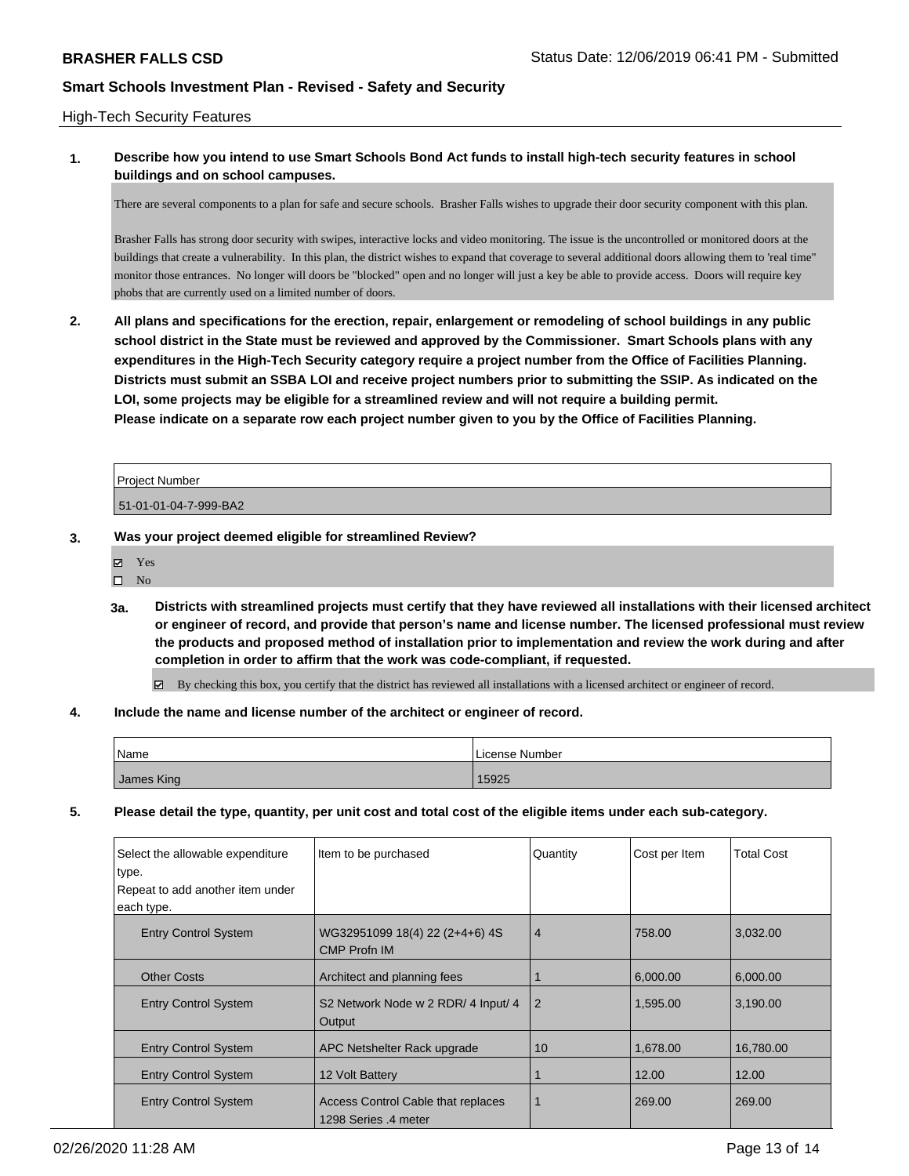### High-Tech Security Features

### **1. Describe how you intend to use Smart Schools Bond Act funds to install high-tech security features in school buildings and on school campuses.**

There are several components to a plan for safe and secure schools. Brasher Falls wishes to upgrade their door security component with this plan.

Brasher Falls has strong door security with swipes, interactive locks and video monitoring. The issue is the uncontrolled or monitored doors at the buildings that create a vulnerability. In this plan, the district wishes to expand that coverage to several additional doors allowing them to 'real time" monitor those entrances. No longer will doors be "blocked" open and no longer will just a key be able to provide access. Doors will require key phobs that are currently used on a limited number of doors.

**2. All plans and specifications for the erection, repair, enlargement or remodeling of school buildings in any public school district in the State must be reviewed and approved by the Commissioner. Smart Schools plans with any expenditures in the High-Tech Security category require a project number from the Office of Facilities Planning. Districts must submit an SSBA LOI and receive project numbers prior to submitting the SSIP. As indicated on the LOI, some projects may be eligible for a streamlined review and will not require a building permit. Please indicate on a separate row each project number given to you by the Office of Facilities Planning.**

| <b>Project Number</b> |  |
|-----------------------|--|
| 51-01-01-04-7-999-BA2 |  |

- **3. Was your project deemed eligible for streamlined Review?**
	- Yes
	- $\square$  No
	- **3a. Districts with streamlined projects must certify that they have reviewed all installations with their licensed architect or engineer of record, and provide that person's name and license number. The licensed professional must review the products and proposed method of installation prior to implementation and review the work during and after completion in order to affirm that the work was code-compliant, if requested.**

By checking this box, you certify that the district has reviewed all installations with a licensed architect or engineer of record.

#### **4. Include the name and license number of the architect or engineer of record.**

| Name       | License Number |
|------------|----------------|
| James King | 15925          |

**5. Please detail the type, quantity, per unit cost and total cost of the eligible items under each sub-category.**

| Select the allowable expenditure<br>type.<br>Repeat to add another item under<br>each type. | Item to be purchased                                       | Quantity       | Cost per Item | <b>Total Cost</b> |
|---------------------------------------------------------------------------------------------|------------------------------------------------------------|----------------|---------------|-------------------|
| <b>Entry Control System</b>                                                                 | WG32951099 18(4) 22 (2+4+6) 4S<br><b>CMP Profn IM</b>      | $\overline{4}$ | 758.00        | 3,032.00          |
| <b>Other Costs</b>                                                                          | Architect and planning fees                                |                | 6,000.00      | 6.000.00          |
| <b>Entry Control System</b>                                                                 | S2 Network Node w 2 RDR/ 4 Input/ 4<br>Output              | 2              | 1.595.00      | 3,190.00          |
| <b>Entry Control System</b>                                                                 | APC Netshelter Rack upgrade                                | 10             | 1,678.00      | 16,780.00         |
| <b>Entry Control System</b>                                                                 | 12 Volt Battery                                            |                | 12.00         | 12.00             |
| <b>Entry Control System</b>                                                                 | Access Control Cable that replaces<br>1298 Series .4 meter | 1              | 269.00        | 269.00            |